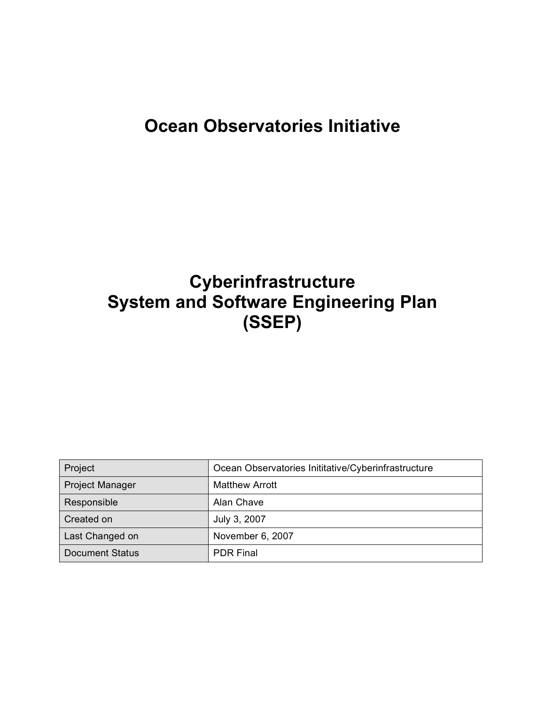# **Ocean Observatories Initiative**

# **Cyberinfrastructure System and Software Engineering Plan (SSEP)**

| Ocean Observatories Inititative/Cyberinfrastructure<br>Project |                       |
|----------------------------------------------------------------|-----------------------|
| <b>Project Manager</b>                                         | <b>Matthew Arrott</b> |
| Responsible                                                    | Alan Chave            |
| Created on                                                     | July 3, 2007          |
| Last Changed on                                                | November 6, 2007      |
| <b>Document Status</b>                                         | <b>PDR Final</b>      |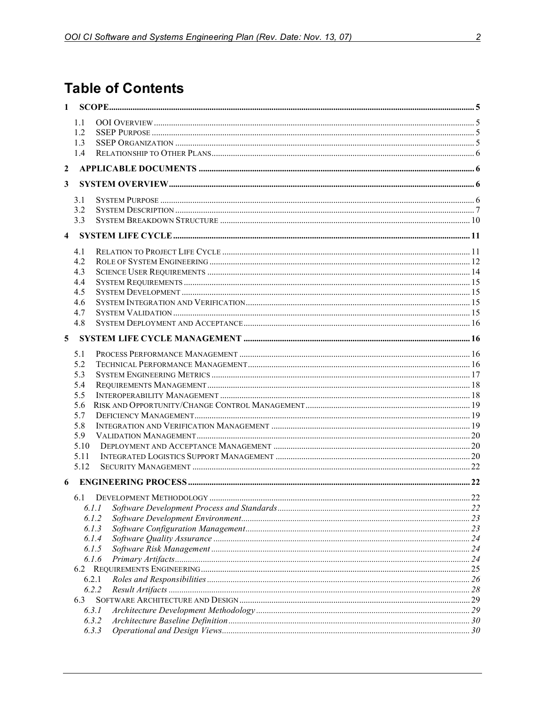## **Table of Contents**

| 1.1<br>1.2<br>1.3<br>1.4<br>2<br>3<br>3.1<br>3.2<br>3.3<br>$\overline{\mathbf{4}}$<br>4.1<br>4.2<br>4.3<br>4.4<br>4.5<br>4.6<br>4.7<br>4.8<br>5<br>5.1<br>5.2<br>5.3<br>5.4<br>5.5<br>5.6<br>5.7<br>5.8<br>5.9<br>5.10<br>5.11<br>5.12<br>6<br>6.1 DEVELOPMENT METHODOLOGY<br>22<br>6.I.I<br>6.1.2<br>6.1.3<br>6.1.4<br>6.1.5<br>6.1.6<br>6.2.1<br>6.2.2<br>6.3<br>6.3.1<br>6.3.2<br>6.3.3 | $\mathbf{1}$ |  |  |
|--------------------------------------------------------------------------------------------------------------------------------------------------------------------------------------------------------------------------------------------------------------------------------------------------------------------------------------------------------------------------------------------|--------------|--|--|
|                                                                                                                                                                                                                                                                                                                                                                                            |              |  |  |
|                                                                                                                                                                                                                                                                                                                                                                                            |              |  |  |
|                                                                                                                                                                                                                                                                                                                                                                                            |              |  |  |
|                                                                                                                                                                                                                                                                                                                                                                                            |              |  |  |
|                                                                                                                                                                                                                                                                                                                                                                                            |              |  |  |
|                                                                                                                                                                                                                                                                                                                                                                                            |              |  |  |
|                                                                                                                                                                                                                                                                                                                                                                                            |              |  |  |
|                                                                                                                                                                                                                                                                                                                                                                                            |              |  |  |
|                                                                                                                                                                                                                                                                                                                                                                                            |              |  |  |
|                                                                                                                                                                                                                                                                                                                                                                                            |              |  |  |
|                                                                                                                                                                                                                                                                                                                                                                                            |              |  |  |
|                                                                                                                                                                                                                                                                                                                                                                                            |              |  |  |
|                                                                                                                                                                                                                                                                                                                                                                                            |              |  |  |
|                                                                                                                                                                                                                                                                                                                                                                                            |              |  |  |
|                                                                                                                                                                                                                                                                                                                                                                                            |              |  |  |
|                                                                                                                                                                                                                                                                                                                                                                                            |              |  |  |
|                                                                                                                                                                                                                                                                                                                                                                                            |              |  |  |
|                                                                                                                                                                                                                                                                                                                                                                                            |              |  |  |
|                                                                                                                                                                                                                                                                                                                                                                                            |              |  |  |
|                                                                                                                                                                                                                                                                                                                                                                                            |              |  |  |
|                                                                                                                                                                                                                                                                                                                                                                                            |              |  |  |
|                                                                                                                                                                                                                                                                                                                                                                                            |              |  |  |
|                                                                                                                                                                                                                                                                                                                                                                                            |              |  |  |
|                                                                                                                                                                                                                                                                                                                                                                                            |              |  |  |
|                                                                                                                                                                                                                                                                                                                                                                                            |              |  |  |
|                                                                                                                                                                                                                                                                                                                                                                                            |              |  |  |
|                                                                                                                                                                                                                                                                                                                                                                                            |              |  |  |
|                                                                                                                                                                                                                                                                                                                                                                                            |              |  |  |
|                                                                                                                                                                                                                                                                                                                                                                                            |              |  |  |
|                                                                                                                                                                                                                                                                                                                                                                                            |              |  |  |
|                                                                                                                                                                                                                                                                                                                                                                                            |              |  |  |
|                                                                                                                                                                                                                                                                                                                                                                                            |              |  |  |
|                                                                                                                                                                                                                                                                                                                                                                                            |              |  |  |
|                                                                                                                                                                                                                                                                                                                                                                                            |              |  |  |
|                                                                                                                                                                                                                                                                                                                                                                                            |              |  |  |
|                                                                                                                                                                                                                                                                                                                                                                                            |              |  |  |
|                                                                                                                                                                                                                                                                                                                                                                                            |              |  |  |
|                                                                                                                                                                                                                                                                                                                                                                                            |              |  |  |
|                                                                                                                                                                                                                                                                                                                                                                                            |              |  |  |
|                                                                                                                                                                                                                                                                                                                                                                                            |              |  |  |
|                                                                                                                                                                                                                                                                                                                                                                                            |              |  |  |
|                                                                                                                                                                                                                                                                                                                                                                                            |              |  |  |
|                                                                                                                                                                                                                                                                                                                                                                                            |              |  |  |
|                                                                                                                                                                                                                                                                                                                                                                                            |              |  |  |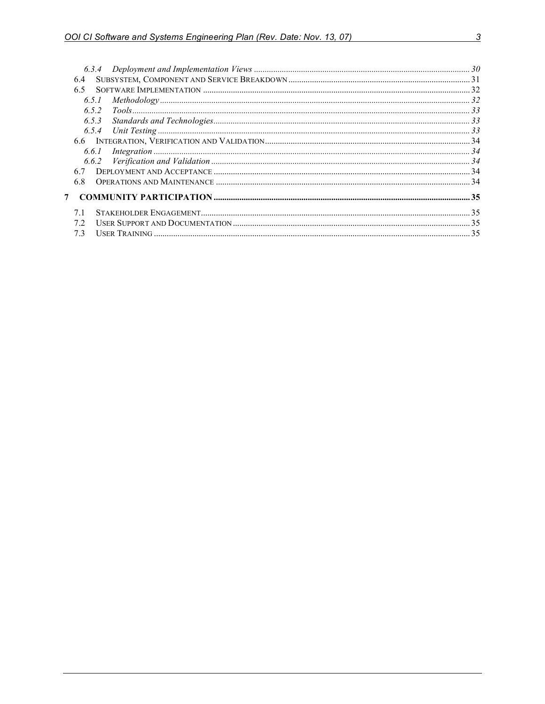|              | 6.4   |  |
|--------------|-------|--|
|              | 6.5   |  |
|              | 6.5.1 |  |
|              |       |  |
|              |       |  |
|              |       |  |
|              |       |  |
|              | 6.6.1 |  |
|              |       |  |
|              |       |  |
|              |       |  |
| $\mathbf{7}$ |       |  |
|              | 7.1   |  |
|              | 7.2   |  |
|              | 7.3   |  |
|              |       |  |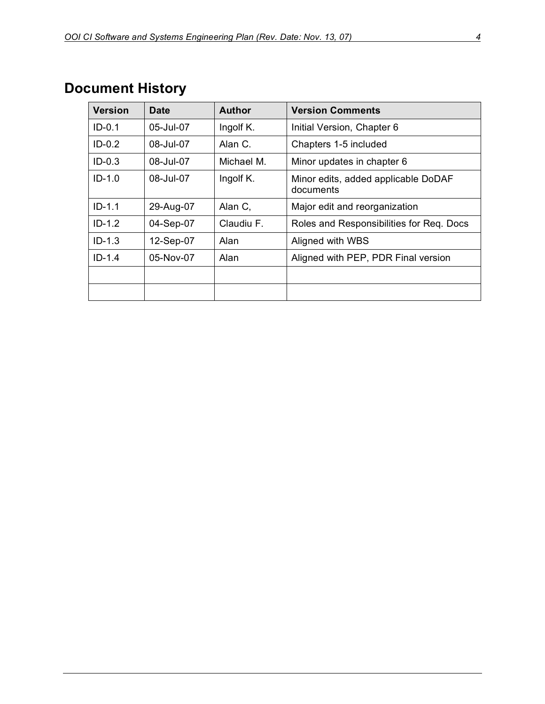| <b>Version</b> | <b>Date</b>   | <b>Author</b> | <b>Version Comments</b>                          |
|----------------|---------------|---------------|--------------------------------------------------|
| $ID-0.1$       | $05 -$ Jul-07 | Ingolf K.     | Initial Version, Chapter 6                       |
| $ID-0.2$       | 08-Jul-07     | Alan C.       | Chapters 1-5 included                            |
| $ID-0.3$       | $08 -$ Jul-07 | Michael M.    | Minor updates in chapter 6                       |
| $ID-1.0$       | 08-Jul-07     | Ingolf K.     | Minor edits, added applicable DoDAF<br>documents |
| $ID-1.1$       | 29-Aug-07     | Alan C,       | Major edit and reorganization                    |
| $ID-1.2$       | 04-Sep-07     | Claudiu F.    | Roles and Responsibilities for Req. Docs         |
| $ID-1.3$       | 12-Sep-07     | Alan          | Aligned with WBS                                 |
| $ID-1.4$       | 05-Nov-07     | Alan          | Aligned with PEP, PDR Final version              |
|                |               |               |                                                  |
|                |               |               |                                                  |

# **Document History**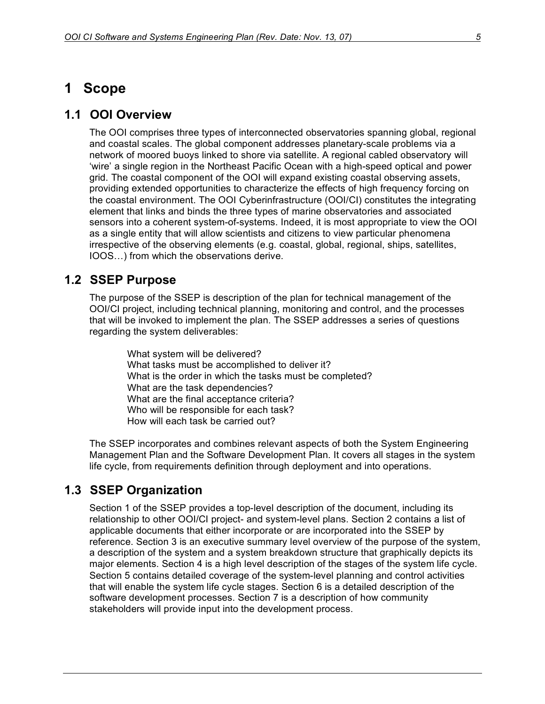## **1 Scope**

#### **1.1 OOI Overview**

The OOI comprises three types of interconnected observatories spanning global, regional and coastal scales. The global component addresses planetary-scale problems via a network of moored buoys linked to shore via satellite. A regional cabled observatory will 'wire' a single region in the Northeast Pacific Ocean with a high-speed optical and power grid. The coastal component of the OOI will expand existing coastal observing assets, providing extended opportunities to characterize the effects of high frequency forcing on the coastal environment. The OOI Cyberinfrastructure (OOI/CI) constitutes the integrating element that links and binds the three types of marine observatories and associated sensors into a coherent system-of-systems. Indeed, it is most appropriate to view the OOI as a single entity that will allow scientists and citizens to view particular phenomena irrespective of the observing elements (e.g. coastal, global, regional, ships, satellites, IOOS…) from which the observations derive.

## **1.2 SSEP Purpose**

The purpose of the SSEP is description of the plan for technical management of the OOI/CI project, including technical planning, monitoring and control, and the processes that will be invoked to implement the plan. The SSEP addresses a series of questions regarding the system deliverables:

> What system will be delivered? What tasks must be accomplished to deliver it? What is the order in which the tasks must be completed? What are the task dependencies? What are the final acceptance criteria? Who will be responsible for each task? How will each task be carried out?

The SSEP incorporates and combines relevant aspects of both the System Engineering Management Plan and the Software Development Plan. It covers all stages in the system life cycle, from requirements definition through deployment and into operations.

#### **1.3 SSEP Organization**

Section 1 of the SSEP provides a top-level description of the document, including its relationship to other OOI/CI project- and system-level plans. Section 2 contains a list of applicable documents that either incorporate or are incorporated into the SSEP by reference. Section 3 is an executive summary level overview of the purpose of the system, a description of the system and a system breakdown structure that graphically depicts its major elements. Section 4 is a high level description of the stages of the system life cycle. Section 5 contains detailed coverage of the system-level planning and control activities that will enable the system life cycle stages. Section 6 is a detailed description of the software development processes. Section 7 is a description of how community stakeholders will provide input into the development process.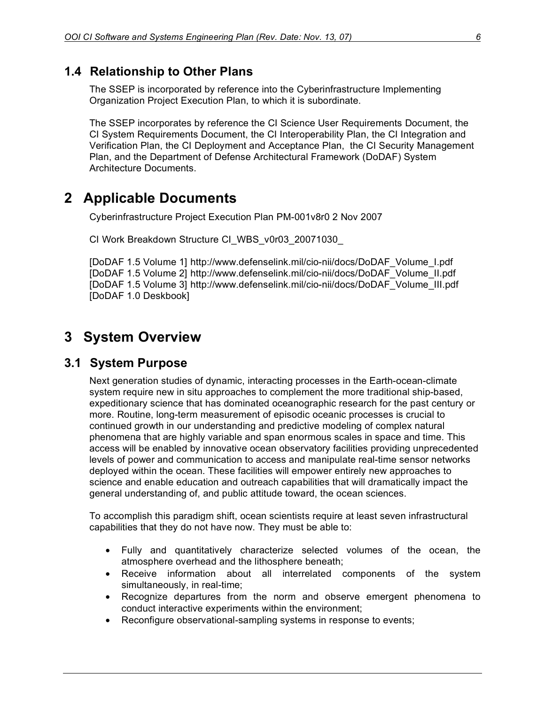#### **1.4 Relationship to Other Plans**

The SSEP is incorporated by reference into the Cyberinfrastructure Implementing Organization Project Execution Plan, to which it is subordinate.

The SSEP incorporates by reference the CI Science User Requirements Document, the CI System Requirements Document, the CI Interoperability Plan, the CI Integration and Verification Plan, the CI Deployment and Acceptance Plan, the CI Security Management Plan, and the Department of Defense Architectural Framework (DoDAF) System Architecture Documents.

## **2 Applicable Documents**

Cyberinfrastructure Project Execution Plan PM-001v8r0 2 Nov 2007

CI Work Breakdown Structure CI\_WBS\_v0r03\_20071030\_

[DoDAF 1.5 Volume 1] http://www.defenselink.mil/cio-nii/docs/DoDAF\_Volume\_I.pdf [DoDAF 1.5 Volume 2] http://www.defenselink.mil/cio-nii/docs/DoDAF\_Volume\_II.pdf [DoDAF 1.5 Volume 3] http://www.defenselink.mil/cio-nii/docs/DoDAF\_Volume\_III.pdf [DoDAF 1.0 Deskbook]

## **3 System Overview**

#### **3.1 System Purpose**

Next generation studies of dynamic, interacting processes in the Earth-ocean-climate system require new in situ approaches to complement the more traditional ship-based, expeditionary science that has dominated oceanographic research for the past century or more. Routine, long-term measurement of episodic oceanic processes is crucial to continued growth in our understanding and predictive modeling of complex natural phenomena that are highly variable and span enormous scales in space and time. This access will be enabled by innovative ocean observatory facilities providing unprecedented levels of power and communication to access and manipulate real-time sensor networks deployed within the ocean. These facilities will empower entirely new approaches to science and enable education and outreach capabilities that will dramatically impact the general understanding of, and public attitude toward, the ocean sciences.

To accomplish this paradigm shift, ocean scientists require at least seven infrastructural capabilities that they do not have now. They must be able to:

- Fully and quantitatively characterize selected volumes of the ocean, the atmosphere overhead and the lithosphere beneath;
- Receive information about all interrelated components of the system simultaneously, in real-time;
- Recognize departures from the norm and observe emergent phenomena to conduct interactive experiments within the environment;
- Reconfigure observational-sampling systems in response to events;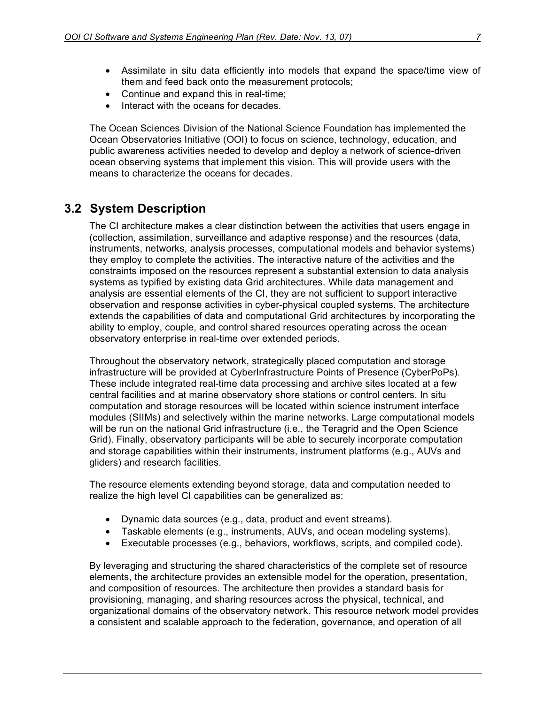- Assimilate in situ data efficiently into models that expand the space/time view of them and feed back onto the measurement protocols;
- Continue and expand this in real-time;
- Interact with the oceans for decades.

The Ocean Sciences Division of the National Science Foundation has implemented the Ocean Observatories Initiative (OOI) to focus on science, technology, education, and public awareness activities needed to develop and deploy a network of science-driven ocean observing systems that implement this vision. This will provide users with the means to characterize the oceans for decades.

## **3.2 System Description**

The CI architecture makes a clear distinction between the activities that users engage in (collection, assimilation, surveillance and adaptive response) and the resources (data, instruments, networks, analysis processes, computational models and behavior systems) they employ to complete the activities. The interactive nature of the activities and the constraints imposed on the resources represent a substantial extension to data analysis systems as typified by existing data Grid architectures. While data management and analysis are essential elements of the CI, they are not sufficient to support interactive observation and response activities in cyber-physical coupled systems. The architecture extends the capabilities of data and computational Grid architectures by incorporating the ability to employ, couple, and control shared resources operating across the ocean observatory enterprise in real-time over extended periods.

Throughout the observatory network, strategically placed computation and storage infrastructure will be provided at CyberInfrastructure Points of Presence (CyberPoPs). These include integrated real-time data processing and archive sites located at a few central facilities and at marine observatory shore stations or control centers. In situ computation and storage resources will be located within science instrument interface modules (SIIMs) and selectively within the marine networks. Large computational models will be run on the national Grid infrastructure (i.e., the Teragrid and the Open Science Grid). Finally, observatory participants will be able to securely incorporate computation and storage capabilities within their instruments, instrument platforms (e.g., AUVs and gliders) and research facilities.

The resource elements extending beyond storage, data and computation needed to realize the high level CI capabilities can be generalized as:

- Dynamic data sources (e.g., data, product and event streams).
- Taskable elements (e.g., instruments, AUVs, and ocean modeling systems).
- Executable processes (e.g., behaviors, workflows, scripts, and compiled code).

By leveraging and structuring the shared characteristics of the complete set of resource elements, the architecture provides an extensible model for the operation, presentation, and composition of resources. The architecture then provides a standard basis for provisioning, managing, and sharing resources across the physical, technical, and organizational domains of the observatory network. This resource network model provides a consistent and scalable approach to the federation, governance, and operation of all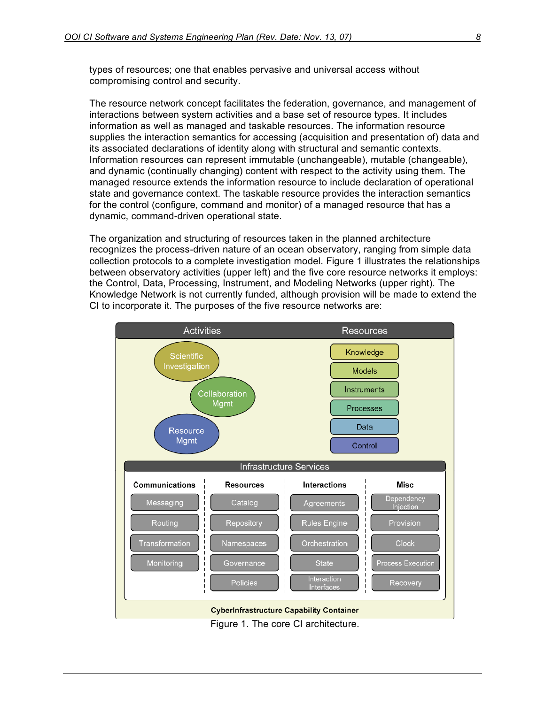types of resources; one that enables pervasive and universal access without compromising control and security.

The resource network concept facilitates the federation, governance, and management of interactions between system activities and a base set of resource types. It includes information as well as managed and taskable resources. The information resource supplies the interaction semantics for accessing (acquisition and presentation of) data and its associated declarations of identity along with structural and semantic contexts. Information resources can represent immutable (unchangeable), mutable (changeable), and dynamic (continually changing) content with respect to the activity using them. The managed resource extends the information resource to include declaration of operational state and governance context. The taskable resource provides the interaction semantics for the control (configure, command and monitor) of a managed resource that has a dynamic, command-driven operational state.

The organization and structuring of resources taken in the planned architecture recognizes the process-driven nature of an ocean observatory, ranging from simple data collection protocols to a complete investigation model. Figure 1 illustrates the relationships between observatory activities (upper left) and the five core resource networks it employs: the Control, Data, Processing, Instrument, and Modeling Networks (upper right). The Knowledge Network is not currently funded, although provision will be made to extend the CI to incorporate it. The purposes of the five resource networks are:

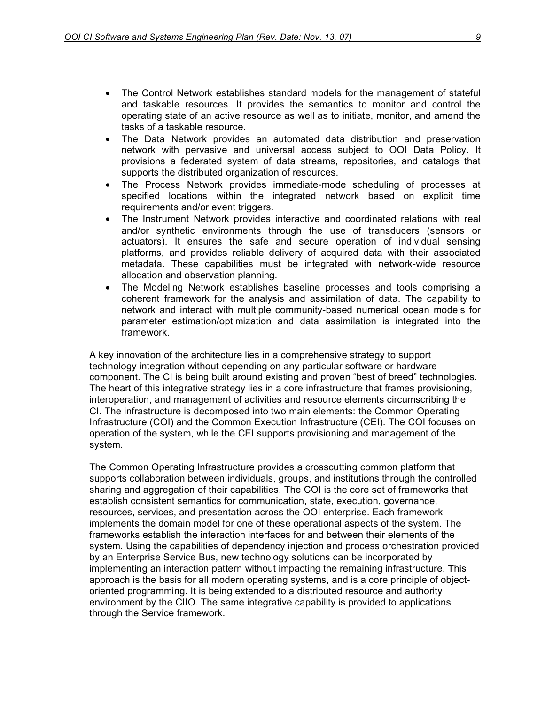- The Control Network establishes standard models for the management of stateful and taskable resources. It provides the semantics to monitor and control the operating state of an active resource as well as to initiate, monitor, and amend the tasks of a taskable resource.
- The Data Network provides an automated data distribution and preservation network with pervasive and universal access subject to OOI Data Policy. It provisions a federated system of data streams, repositories, and catalogs that supports the distributed organization of resources.
- The Process Network provides immediate-mode scheduling of processes at specified locations within the integrated network based on explicit time requirements and/or event triggers.
- The Instrument Network provides interactive and coordinated relations with real and/or synthetic environments through the use of transducers (sensors or actuators). It ensures the safe and secure operation of individual sensing platforms, and provides reliable delivery of acquired data with their associated metadata. These capabilities must be integrated with network-wide resource allocation and observation planning.
- The Modeling Network establishes baseline processes and tools comprising a coherent framework for the analysis and assimilation of data. The capability to network and interact with multiple community-based numerical ocean models for parameter estimation/optimization and data assimilation is integrated into the framework.

A key innovation of the architecture lies in a comprehensive strategy to support technology integration without depending on any particular software or hardware component. The CI is being built around existing and proven "best of breed" technologies. The heart of this integrative strategy lies in a core infrastructure that frames provisioning, interoperation, and management of activities and resource elements circumscribing the CI. The infrastructure is decomposed into two main elements: the Common Operating Infrastructure (COI) and the Common Execution Infrastructure (CEI). The COI focuses on operation of the system, while the CEI supports provisioning and management of the system.

The Common Operating Infrastructure provides a crosscutting common platform that supports collaboration between individuals, groups, and institutions through the controlled sharing and aggregation of their capabilities. The COI is the core set of frameworks that establish consistent semantics for communication, state, execution, governance, resources, services, and presentation across the OOI enterprise. Each framework implements the domain model for one of these operational aspects of the system. The frameworks establish the interaction interfaces for and between their elements of the system. Using the capabilities of dependency injection and process orchestration provided by an Enterprise Service Bus, new technology solutions can be incorporated by implementing an interaction pattern without impacting the remaining infrastructure. This approach is the basis for all modern operating systems, and is a core principle of objectoriented programming. It is being extended to a distributed resource and authority environment by the CIIO. The same integrative capability is provided to applications through the Service framework.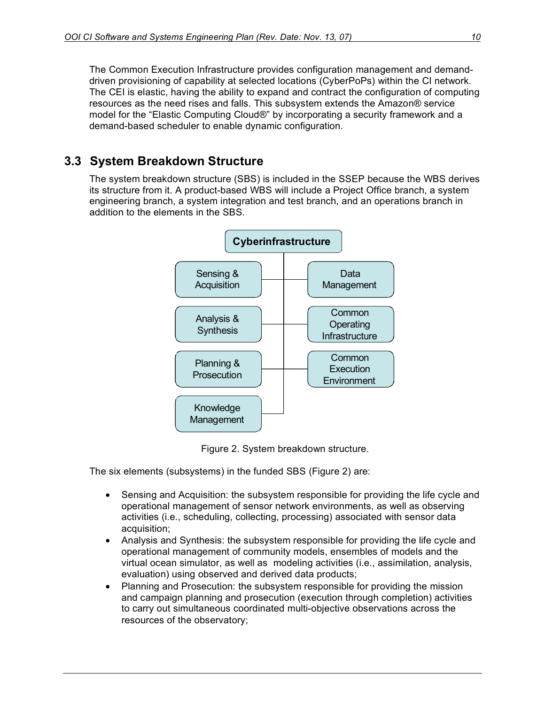The Common Execution Infrastructure provides configuration management and demanddriven provisioning of capability at selected locations (CyberPoPs) within the CI network. The CEI is elastic, having the ability to expand and contract the configuration of computing resources as the need rises and falls. This subsystem extends the Amazon® service model for the "Elastic Computing Cloud®" by incorporating a security framework and a demand-based scheduler to enable dynamic configuration.

## **3.3 System Breakdown Structure**

The system breakdown structure (SBS) is included in the SSEP because the WBS derives its structure from it. A product-based WBS will include a Project Office branch, a system engineering branch, a system integration and test branch, and an operations branch in addition to the elements in the SBS.



Figure 2. System breakdown structure.

The six elements (subsystems) in the funded SBS (Figure 2) are:

- Sensing and Acquisition: the subsystem responsible for providing the life cycle and operational management of sensor network environments, as well as observing activities (i.e., scheduling, collecting, processing) associated with sensor data acquisition;
- Analysis and Synthesis: the subsystem responsible for providing the life cycle and operational management of community models, ensembles of models and the virtual ocean simulator, as well as modeling activities (i.e., assimilation, analysis, evaluation) using observed and derived data products;
- Planning and Prosecution: the subsystem responsible for providing the mission and campaign planning and prosecution (execution through completion) activities to carry out simultaneous coordinated multi-objective observations across the resources of the observatory;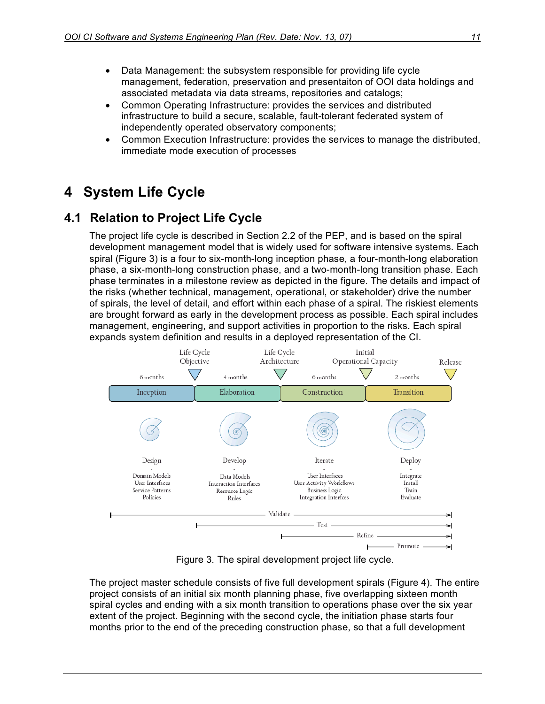- Data Management: the subsystem responsible for providing life cycle management, federation, preservation and presentaiton of OOI data holdings and associated metadata via data streams, repositories and catalogs;
- Common Operating Infrastructure: provides the services and distributed infrastructure to build a secure, scalable, fault-tolerant federated system of independently operated observatory components;
- Common Execution Infrastructure: provides the services to manage the distributed, immediate mode execution of processes

## **4 System Life Cycle**

## **4.1 Relation to Project Life Cycle**

The project life cycle is described in Section 2.2 of the PEP, and is based on the spiral development management model that is widely used for software intensive systems. Each spiral (Figure 3) is a four to six-month-long inception phase, a four-month-long elaboration phase, a six-month-long construction phase, and a two-month-long transition phase. Each phase terminates in a milestone review as depicted in the figure. The details and impact of the risks (whether technical, management, operational, or stakeholder) drive the number of spirals, the level of detail, and effort within each phase of a spiral. The riskiest elements are brought forward as early in the development process as possible. Each spiral includes management, engineering, and support activities in proportion to the risks. Each spiral expands system definition and results in a deployed representation of the CI.



Figure 3. The spiral development project life cycle.

The project master schedule consists of five full development spirals (Figure 4). The entire project consists of an initial six month planning phase, five overlapping sixteen month spiral cycles and ending with a six month transition to operations phase over the six year extent of the project. Beginning with the second cycle, the initiation phase starts four months prior to the end of the preceding construction phase, so that a full development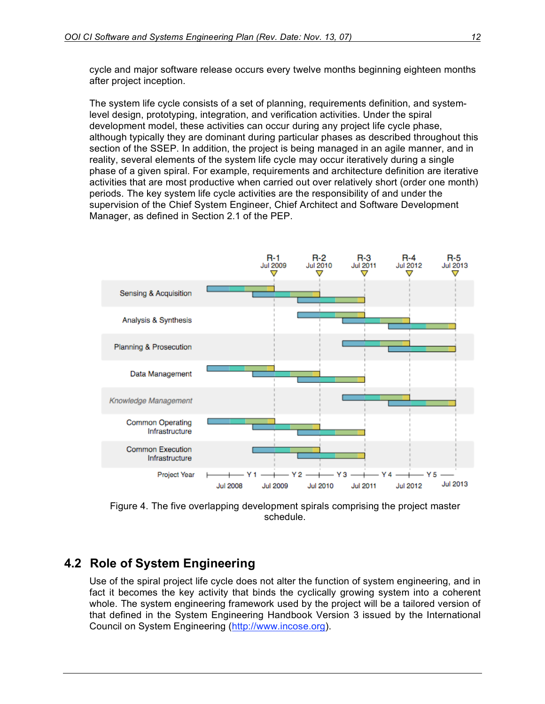cycle and major software release occurs every twelve months beginning eighteen months after project inception.

The system life cycle consists of a set of planning, requirements definition, and systemlevel design, prototyping, integration, and verification activities. Under the spiral development model, these activities can occur during any project life cycle phase, although typically they are dominant during particular phases as described throughout this section of the SSEP. In addition, the project is being managed in an agile manner, and in reality, several elements of the system life cycle may occur iteratively during a single phase of a given spiral. For example, requirements and architecture definition are iterative activities that are most productive when carried out over relatively short (order one month) periods. The key system life cycle activities are the responsibility of and under the supervision of the Chief System Engineer, Chief Architect and Software Development Manager, as defined in Section 2.1 of the PEP.



Figure 4. The five overlapping development spirals comprising the project master schedule.

## **4.2 Role of System Engineering**

Use of the spiral project life cycle does not alter the function of system engineering, and in fact it becomes the key activity that binds the cyclically growing system into a coherent whole. The system engineering framework used by the project will be a tailored version of that defined in the System Engineering Handbook Version 3 issued by the International Council on System Engineering (http://www.incose.org).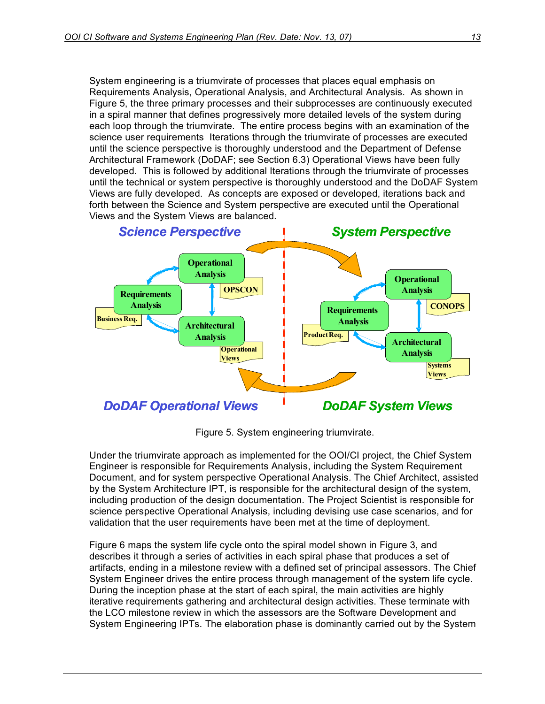System engineering is a triumvirate of processes that places equal emphasis on Requirements Analysis, Operational Analysis, and Architectural Analysis. As shown in Figure 5, the three primary processes and their subprocesses are continuously executed in a spiral manner that defines progressively more detailed levels of the system during each loop through the triumvirate. The entire process begins with an examination of the science user requirements Iterations through the triumvirate of processes are executed until the science perspective is thoroughly understood and the Department of Defense Architectural Framework (DoDAF; see Section 6.3) Operational Views have been fully developed. This is followed by additional Iterations through the triumvirate of processes until the technical or system perspective is thoroughly understood and the DoDAF System Views are fully developed. As concepts are exposed or developed, iterations back and forth between the Science and System perspective are executed until the Operational Views and the System Views are balanced.



Figure 5. System engineering triumvirate.

Under the triumvirate approach as implemented for the OOI/CI project, the Chief System Engineer is responsible for Requirements Analysis, including the System Requirement Document, and for system perspective Operational Analysis. The Chief Architect, assisted by the System Architecture IPT, is responsible for the architectural design of the system, including production of the design documentation. The Project Scientist is responsible for science perspective Operational Analysis, including devising use case scenarios, and for validation that the user requirements have been met at the time of deployment.

Figure 6 maps the system life cycle onto the spiral model shown in Figure 3, and describes it through a series of activities in each spiral phase that produces a set of artifacts, ending in a milestone review with a defined set of principal assessors. The Chief System Engineer drives the entire process through management of the system life cycle. During the inception phase at the start of each spiral, the main activities are highly iterative requirements gathering and architectural design activities. These terminate with the LCO milestone review in which the assessors are the Software Development and System Engineering IPTs. The elaboration phase is dominantly carried out by the System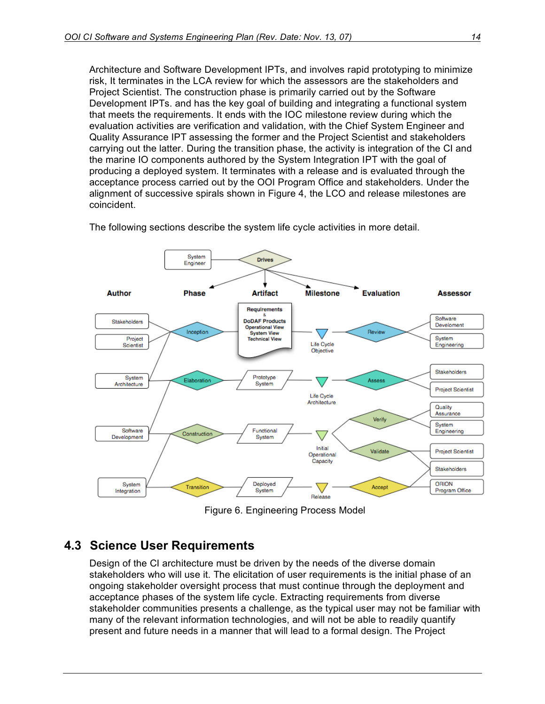Architecture and Software Development IPTs, and involves rapid prototyping to minimize risk, It terminates in the LCA review for which the assessors are the stakeholders and Project Scientist. The construction phase is primarily carried out by the Software Development IPTs. and has the key goal of building and integrating a functional system that meets the requirements. It ends with the IOC milestone review during which the evaluation activities are verification and validation, with the Chief System Engineer and Quality Assurance IPT assessing the former and the Project Scientist and stakeholders carrying out the latter. During the transition phase, the activity is integration of the CI and the marine IO components authored by the System Integration IPT with the goal of producing a deployed system. It terminates with a release and is evaluated through the acceptance process carried out by the OOI Program Office and stakeholders. Under the alignment of successive spirals shown in Figure 4, the LCO and release milestones are coincident.



The following sections describe the system life cycle activities in more detail.

Figure 6. Engineering Process Model

## **4.3 Science User Requirements**

Design of the CI architecture must be driven by the needs of the diverse domain stakeholders who will use it. The elicitation of user requirements is the initial phase of an ongoing stakeholder oversight process that must continue through the deployment and acceptance phases of the system life cycle. Extracting requirements from diverse stakeholder communities presents a challenge, as the typical user may not be familiar with many of the relevant information technologies, and will not be able to readily quantify present and future needs in a manner that will lead to a formal design. The Project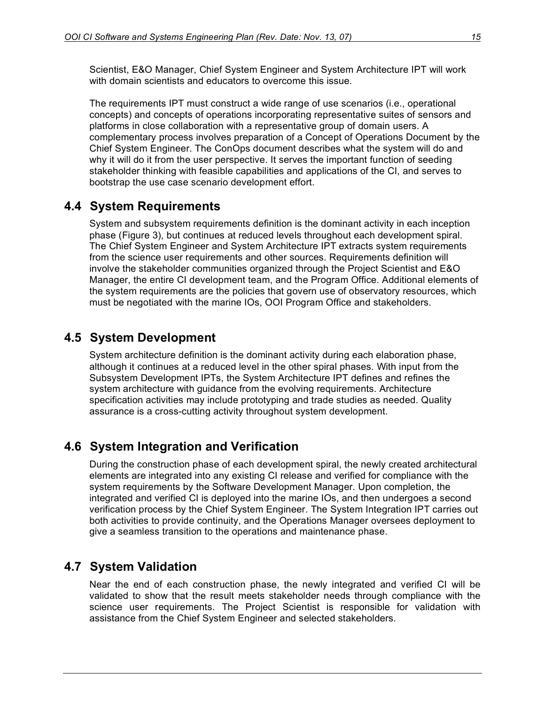Scientist, E&O Manager, Chief System Engineer and System Architecture IPT will work with domain scientists and educators to overcome this issue.

The requirements IPT must construct a wide range of use scenarios (i.e., operational concepts) and concepts of operations incorporating representative suites of sensors and platforms in close collaboration with a representative group of domain users. A complementary process involves preparation of a Concept of Operations Document by the Chief System Engineer. The ConOps document describes what the system will do and why it will do it from the user perspective. It serves the important function of seeding stakeholder thinking with feasible capabilities and applications of the CI, and serves to bootstrap the use case scenario development effort.

#### **4.4 System Requirements**

System and subsystem requirements definition is the dominant activity in each inception phase (Figure 3), but continues at reduced levels throughout each development spiral. The Chief System Engineer and System Architecture IPT extracts system requirements from the science user requirements and other sources. Requirements definition will involve the stakeholder communities organized through the Project Scientist and E&O Manager, the entire CI development team, and the Program Office. Additional elements of the system requirements are the policies that govern use of observatory resources, which must be negotiated with the marine IOs, OOI Program Office and stakeholders.

## **4.5 System Development**

System architecture definition is the dominant activity during each elaboration phase, although it continues at a reduced level in the other spiral phases. With input from the Subsystem Development IPTs, the System Architecture IPT defines and refines the system architecture with guidance from the evolving requirements. Architecture specification activities may include prototyping and trade studies as needed. Quality assurance is a cross-cutting activity throughout system development.

## **4.6 System Integration and Verification**

During the construction phase of each development spiral, the newly created architectural elements are integrated into any existing CI release and verified for compliance with the system requirements by the Software Development Manager. Upon completion, the integrated and verified CI is deployed into the marine IOs, and then undergoes a second verification process by the Chief System Engineer. The System Integration IPT carries out both activities to provide continuity, and the Operations Manager oversees deployment to give a seamless transition to the operations and maintenance phase.

#### **4.7 System Validation**

Near the end of each construction phase, the newly integrated and verified CI will be validated to show that the result meets stakeholder needs through compliance with the science user requirements. The Project Scientist is responsible for validation with assistance from the Chief System Engineer and selected stakeholders.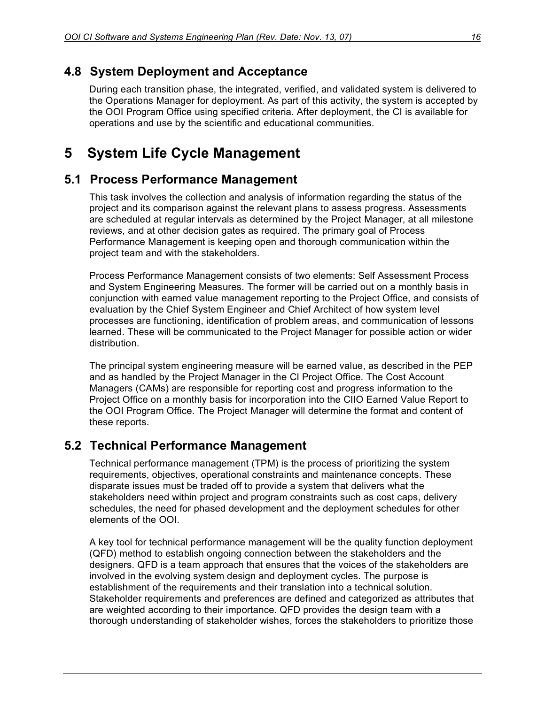## **4.8 System Deployment and Acceptance**

During each transition phase, the integrated, verified, and validated system is delivered to the Operations Manager for deployment. As part of this activity, the system is accepted by the OOI Program Office using specified criteria. After deployment, the CI is available for operations and use by the scientific and educational communities.

## **5 System Life Cycle Management**

## **5.1 Process Performance Management**

This task involves the collection and analysis of information regarding the status of the project and its comparison against the relevant plans to assess progress. Assessments are scheduled at regular intervals as determined by the Project Manager, at all milestone reviews, and at other decision gates as required. The primary goal of Process Performance Management is keeping open and thorough communication within the project team and with the stakeholders.

Process Performance Management consists of two elements: Self Assessment Process and System Engineering Measures. The former will be carried out on a monthly basis in conjunction with earned value management reporting to the Project Office, and consists of evaluation by the Chief System Engineer and Chief Architect of how system level processes are functioning, identification of problem areas, and communication of lessons learned. These will be communicated to the Project Manager for possible action or wider distribution.

The principal system engineering measure will be earned value, as described in the PEP and as handled by the Project Manager in the CI Project Office. The Cost Account Managers (CAMs) are responsible for reporting cost and progress information to the Project Office on a monthly basis for incorporation into the CIIO Earned Value Report to the OOI Program Office. The Project Manager will determine the format and content of these reports.

## **5.2 Technical Performance Management**

Technical performance management (TPM) is the process of prioritizing the system requirements, objectives, operational constraints and maintenance concepts. These disparate issues must be traded off to provide a system that delivers what the stakeholders need within project and program constraints such as cost caps, delivery schedules, the need for phased development and the deployment schedules for other elements of the OOI.

A key tool for technical performance management will be the quality function deployment (QFD) method to establish ongoing connection between the stakeholders and the designers. QFD is a team approach that ensures that the voices of the stakeholders are involved in the evolving system design and deployment cycles. The purpose is establishment of the requirements and their translation into a technical solution. Stakeholder requirements and preferences are defined and categorized as attributes that are weighted according to their importance. QFD provides the design team with a thorough understanding of stakeholder wishes, forces the stakeholders to prioritize those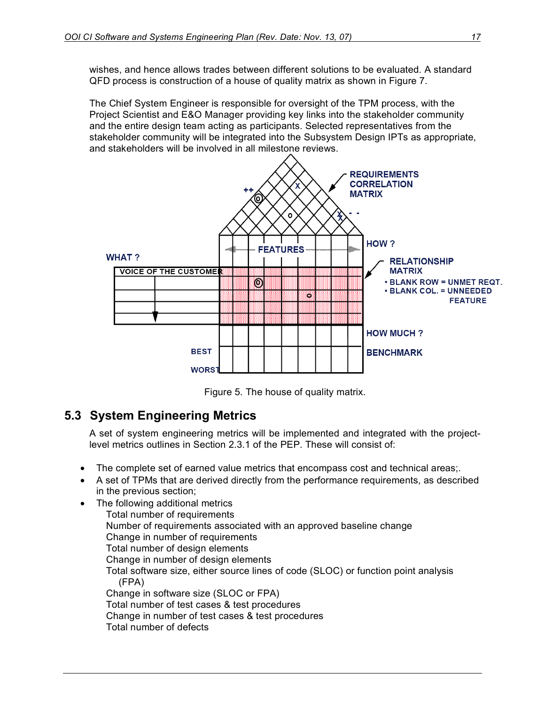wishes, and hence allows trades between different solutions to be evaluated. A standard QFD process is construction of a house of quality matrix as shown in Figure 7.

The Chief System Engineer is responsible for oversight of the TPM process, with the Project Scientist and E&O Manager providing key links into the stakeholder community and the entire design team acting as participants. Selected representatives from the stakeholder community will be integrated into the Subsystem Design IPTs as appropriate, and stakeholders will be involved in all milestone reviews.



Figure 5. The house of quality matrix.

## **5.3 System Engineering Metrics**

A set of system engineering metrics will be implemented and integrated with the projectlevel metrics outlines in Section 2.3.1 of the PEP. These will consist of:

- The complete set of earned value metrics that encompass cost and technical areas;.
- A set of TPMs that are derived directly from the performance requirements, as described in the previous section;
- The following additional metrics

Total number of requirements Number of requirements associated with an approved baseline change Change in number of requirements Total number of design elements Change in number of design elements Total software size, either source lines of code (SLOC) or function point analysis (FPA) Change in software size (SLOC or FPA) Total number of test cases & test procedures Change in number of test cases & test procedures Total number of defects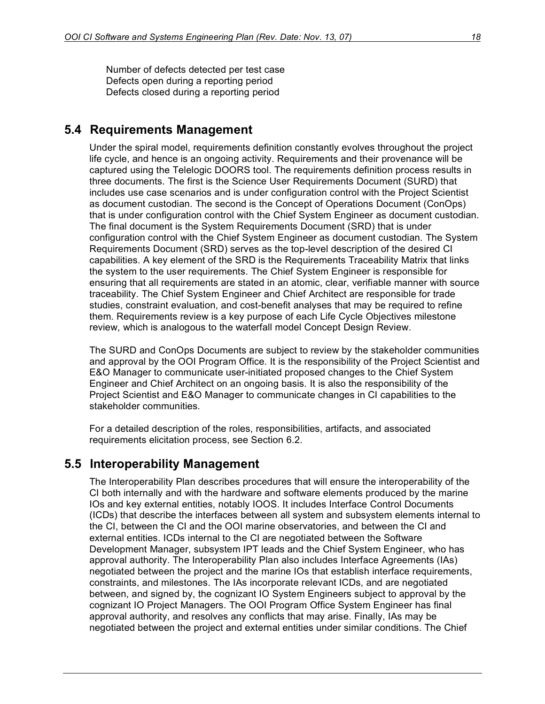Number of defects detected per test case Defects open during a reporting period Defects closed during a reporting period

#### **5.4 Requirements Management**

Under the spiral model, requirements definition constantly evolves throughout the project life cycle, and hence is an ongoing activity. Requirements and their provenance will be captured using the Telelogic DOORS tool. The requirements definition process results in three documents. The first is the Science User Requirements Document (SURD) that includes use case scenarios and is under configuration control with the Project Scientist as document custodian. The second is the Concept of Operations Document (ConOps) that is under configuration control with the Chief System Engineer as document custodian. The final document is the System Requirements Document (SRD) that is under configuration control with the Chief System Engineer as document custodian. The System Requirements Document (SRD) serves as the top-level description of the desired CI capabilities. A key element of the SRD is the Requirements Traceability Matrix that links the system to the user requirements. The Chief System Engineer is responsible for ensuring that all requirements are stated in an atomic, clear, verifiable manner with source traceability. The Chief System Engineer and Chief Architect are responsible for trade studies, constraint evaluation, and cost-benefit analyses that may be required to refine them. Requirements review is a key purpose of each Life Cycle Objectives milestone review, which is analogous to the waterfall model Concept Design Review.

The SURD and ConOps Documents are subject to review by the stakeholder communities and approval by the OOI Program Office. It is the responsibility of the Project Scientist and E&O Manager to communicate user-initiated proposed changes to the Chief System Engineer and Chief Architect on an ongoing basis. It is also the responsibility of the Project Scientist and E&O Manager to communicate changes in CI capabilities to the stakeholder communities.

For a detailed description of the roles, responsibilities, artifacts, and associated requirements elicitation process, see Section 6.2.

#### **5.5 Interoperability Management**

The Interoperability Plan describes procedures that will ensure the interoperability of the CI both internally and with the hardware and software elements produced by the marine IOs and key external entities, notably IOOS. It includes Interface Control Documents (ICDs) that describe the interfaces between all system and subsystem elements internal to the CI, between the CI and the OOI marine observatories, and between the CI and external entities. ICDs internal to the CI are negotiated between the Software Development Manager, subsystem IPT leads and the Chief System Engineer, who has approval authority. The Interoperability Plan also includes Interface Agreements (IAs) negotiated between the project and the marine IOs that establish interface requirements, constraints, and milestones. The IAs incorporate relevant ICDs, and are negotiated between, and signed by, the cognizant IO System Engineers subject to approval by the cognizant IO Project Managers. The OOI Program Office System Engineer has final approval authority, and resolves any conflicts that may arise. Finally, IAs may be negotiated between the project and external entities under similar conditions. The Chief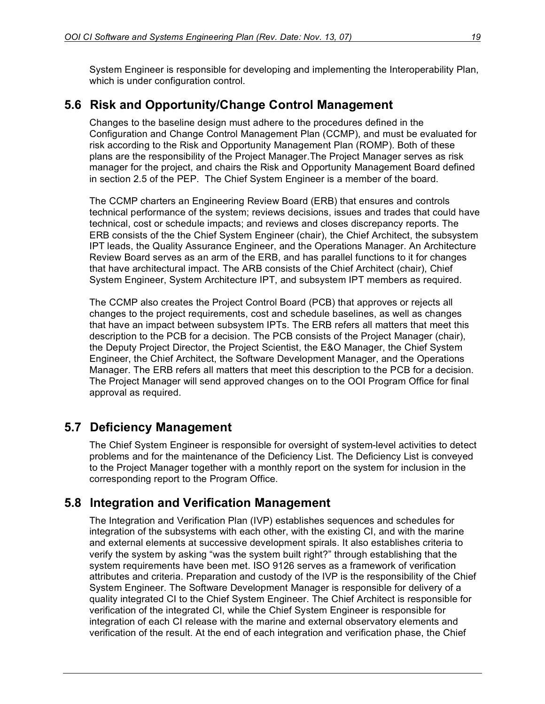System Engineer is responsible for developing and implementing the Interoperability Plan, which is under configuration control.

## **5.6 Risk and Opportunity/Change Control Management**

Changes to the baseline design must adhere to the procedures defined in the Configuration and Change Control Management Plan (CCMP), and must be evaluated for risk according to the Risk and Opportunity Management Plan (ROMP). Both of these plans are the responsibility of the Project Manager.The Project Manager serves as risk manager for the project, and chairs the Risk and Opportunity Management Board defined in section 2.5 of the PEP. The Chief System Engineer is a member of the board.

The CCMP charters an Engineering Review Board (ERB) that ensures and controls technical performance of the system; reviews decisions, issues and trades that could have technical, cost or schedule impacts; and reviews and closes discrepancy reports. The ERB consists of the the Chief System Engineer (chair), the Chief Architect, the subsystem IPT leads, the Quality Assurance Engineer, and the Operations Manager. An Architecture Review Board serves as an arm of the ERB, and has parallel functions to it for changes that have architectural impact. The ARB consists of the Chief Architect (chair), Chief System Engineer, System Architecture IPT, and subsystem IPT members as required.

The CCMP also creates the Project Control Board (PCB) that approves or rejects all changes to the project requirements, cost and schedule baselines, as well as changes that have an impact between subsystem IPTs. The ERB refers all matters that meet this description to the PCB for a decision. The PCB consists of the Project Manager (chair), the Deputy Project Director, the Project Scientist, the E&O Manager, the Chief System Engineer, the Chief Architect, the Software Development Manager, and the Operations Manager. The ERB refers all matters that meet this description to the PCB for a decision. The Project Manager will send approved changes on to the OOI Program Office for final approval as required.

## **5.7 Deficiency Management**

The Chief System Engineer is responsible for oversight of system-level activities to detect problems and for the maintenance of the Deficiency List. The Deficiency List is conveyed to the Project Manager together with a monthly report on the system for inclusion in the corresponding report to the Program Office.

## **5.8 Integration and Verification Management**

The Integration and Verification Plan (IVP) establishes sequences and schedules for integration of the subsystems with each other, with the existing CI, and with the marine and external elements at successive development spirals. It also establishes criteria to verify the system by asking "was the system built right?" through establishing that the system requirements have been met. ISO 9126 serves as a framework of verification attributes and criteria. Preparation and custody of the IVP is the responsibility of the Chief System Engineer. The Software Development Manager is responsible for delivery of a quality integrated CI to the Chief System Engineer. The Chief Architect is responsible for verification of the integrated CI, while the Chief System Engineer is responsible for integration of each CI release with the marine and external observatory elements and verification of the result. At the end of each integration and verification phase, the Chief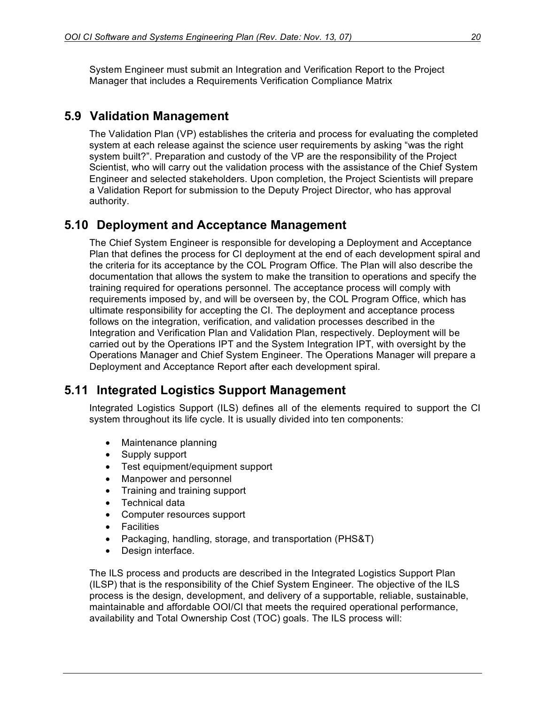System Engineer must submit an Integration and Verification Report to the Project Manager that includes a Requirements Verification Compliance Matrix

## **5.9 Validation Management**

The Validation Plan (VP) establishes the criteria and process for evaluating the completed system at each release against the science user requirements by asking "was the right system built?". Preparation and custody of the VP are the responsibility of the Project Scientist, who will carry out the validation process with the assistance of the Chief System Engineer and selected stakeholders. Upon completion, the Project Scientists will prepare a Validation Report for submission to the Deputy Project Director, who has approval authority.

## **5.10 Deployment and Acceptance Management**

The Chief System Engineer is responsible for developing a Deployment and Acceptance Plan that defines the process for CI deployment at the end of each development spiral and the criteria for its acceptance by the COL Program Office. The Plan will also describe the documentation that allows the system to make the transition to operations and specify the training required for operations personnel. The acceptance process will comply with requirements imposed by, and will be overseen by, the COL Program Office, which has ultimate responsibility for accepting the CI. The deployment and acceptance process follows on the integration, verification, and validation processes described in the Integration and Verification Plan and Validation Plan, respectively. Deployment will be carried out by the Operations IPT and the System Integration IPT, with oversight by the Operations Manager and Chief System Engineer. The Operations Manager will prepare a Deployment and Acceptance Report after each development spiral.

## **5.11 Integrated Logistics Support Management**

Integrated Logistics Support (ILS) defines all of the elements required to support the CI system throughout its life cycle. It is usually divided into ten components:

- Maintenance planning
- Supply support
- Test equipment/equipment support
- Manpower and personnel
- Training and training support
- Technical data
- Computer resources support
- Facilities
- Packaging, handling, storage, and transportation (PHS&T)
- Design interface.

The ILS process and products are described in the Integrated Logistics Support Plan (ILSP) that is the responsibility of the Chief System Engineer. The objective of the ILS process is the design, development, and delivery of a supportable, reliable, sustainable, maintainable and affordable OOI/CI that meets the required operational performance, availability and Total Ownership Cost (TOC) goals. The ILS process will: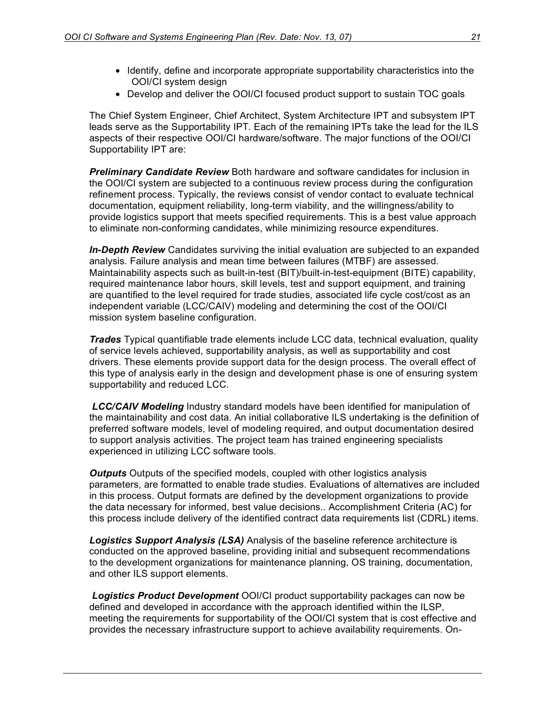- Identify, define and incorporate appropriate supportability characteristics into the OOI/CI system design
- Develop and deliver the OOI/CI focused product support to sustain TOC goals

The Chief System Engineer, Chief Architect, System Architecture IPT and subsystem IPT leads serve as the Supportability IPT. Each of the remaining IPTs take the lead for the ILS aspects of their respective OOI/CI hardware/software. The major functions of the OOI/CI Supportability IPT are:

*Preliminary Candidate Review* Both hardware and software candidates for inclusion in the OOI/CI system are subjected to a continuous review process during the configuration refinement process. Typically, the reviews consist of vendor contact to evaluate technical documentation, equipment reliability, long-term viability, and the willingness/ability to provide logistics support that meets specified requirements. This is a best value approach to eliminate non-conforming candidates, while minimizing resource expenditures.

*In-Depth Review* Candidates surviving the initial evaluation are subjected to an expanded analysis. Failure analysis and mean time between failures (MTBF) are assessed. Maintainability aspects such as built-in-test (BIT)/built-in-test-equipment (BITE) capability, required maintenance labor hours, skill levels, test and support equipment, and training are quantified to the level required for trade studies, associated life cycle cost/cost as an independent variable (LCC/CAIV) modeling and determining the cost of the OOI/CI mission system baseline configuration.

*Trades* Typical quantifiable trade elements include LCC data, technical evaluation, quality of service levels achieved, supportability analysis, as well as supportability and cost drivers. These elements provide support data for the design process. The overall effect of this type of analysis early in the design and development phase is one of ensuring system supportability and reduced LCC.

*LCC/CAIV Modeling* Industry standard models have been identified for manipulation of the maintainability and cost data. An initial collaborative ILS undertaking is the definition of preferred software models, level of modeling required, and output documentation desired to support analysis activities. The project team has trained engineering specialists experienced in utilizing LCC software tools.

*Outputs* Outputs of the specified models, coupled with other logistics analysis parameters, are formatted to enable trade studies. Evaluations of alternatives are included in this process. Output formats are defined by the development organizations to provide the data necessary for informed, best value decisions.. Accomplishment Criteria (AC) for this process include delivery of the identified contract data requirements list (CDRL) items.

*Logistics Support Analysis (LSA)* Analysis of the baseline reference architecture is conducted on the approved baseline, providing initial and subsequent recommendations to the development organizations for maintenance planning, OS training, documentation, and other ILS support elements.

*Logistics Product Development* OOI/CI product supportability packages can now be defined and developed in accordance with the approach identified within the ILSP, meeting the requirements for supportability of the OOI/CI system that is cost effective and provides the necessary infrastructure support to achieve availability requirements. On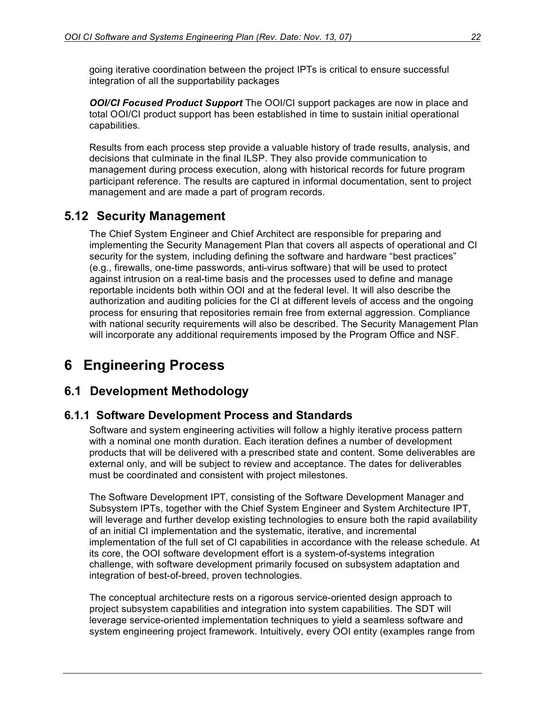going iterative coordination between the project IPTs is critical to ensure successful integration of all the supportability packages

*OOI/CI Focused Product Support* The OOI/CI support packages are now in place and total OOI/CI product support has been established in time to sustain initial operational capabilities.

Results from each process step provide a valuable history of trade results, analysis, and decisions that culminate in the final ILSP. They also provide communication to management during process execution, along with historical records for future program participant reference. The results are captured in informal documentation, sent to project management and are made a part of program records.

## **5.12 Security Management**

The Chief System Engineer and Chief Architect are responsible for preparing and implementing the Security Management Plan that covers all aspects of operational and CI security for the system, including defining the software and hardware "best practices" (e.g., firewalls, one-time passwords, anti-virus software) that will be used to protect against intrusion on a real-time basis and the processes used to define and manage reportable incidents both within OOI and at the federal level. It will also describe the authorization and auditing policies for the CI at different levels of access and the ongoing process for ensuring that repositories remain free from external aggression. Compliance with national security requirements will also be described. The Security Management Plan will incorporate any additional requirements imposed by the Program Office and NSF.

## **6 Engineering Process**

## **6.1 Development Methodology**

#### **6.1.1 Software Development Process and Standards**

Software and system engineering activities will follow a highly iterative process pattern with a nominal one month duration. Each iteration defines a number of development products that will be delivered with a prescribed state and content. Some deliverables are external only, and will be subject to review and acceptance. The dates for deliverables must be coordinated and consistent with project milestones.

The Software Development IPT, consisting of the Software Development Manager and Subsystem IPTs, together with the Chief System Engineer and System Architecture IPT, will leverage and further develop existing technologies to ensure both the rapid availability of an initial CI implementation and the systematic, iterative, and incremental implementation of the full set of CI capabilities in accordance with the release schedule. At its core, the OOI software development effort is a system-of-systems integration challenge, with software development primarily focused on subsystem adaptation and integration of best-of-breed, proven technologies.

The conceptual architecture rests on a rigorous service-oriented design approach to project subsystem capabilities and integration into system capabilities. The SDT will leverage service-oriented implementation techniques to yield a seamless software and system engineering project framework. Intuitively, every OOI entity (examples range from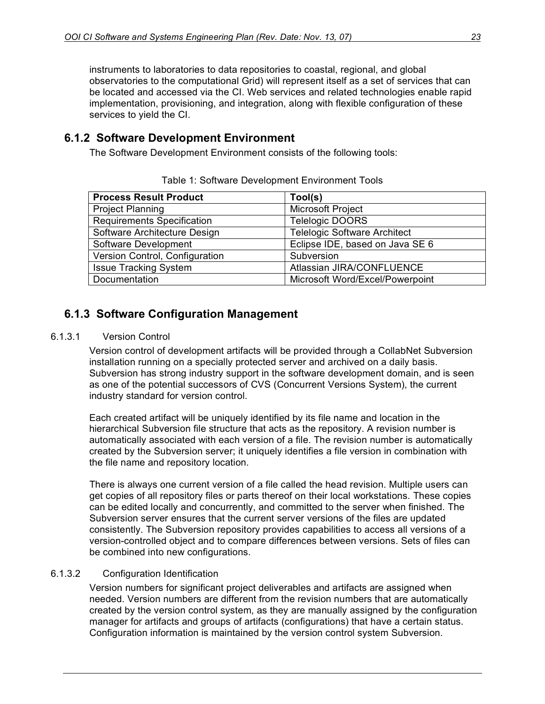instruments to laboratories to data repositories to coastal, regional, and global observatories to the computational Grid) will represent itself as a set of services that can be located and accessed via the CI. Web services and related technologies enable rapid implementation, provisioning, and integration, along with flexible configuration of these services to yield the CI.

#### **6.1.2 Software Development Environment**

The Software Development Environment consists of the following tools:

| <b>Process Result Product</b>     | Tool(s)                             |
|-----------------------------------|-------------------------------------|
| <b>Project Planning</b>           | <b>Microsoft Project</b>            |
| <b>Requirements Specification</b> | Telelogic DOORS                     |
| Software Architecture Design      | <b>Telelogic Software Architect</b> |
| Software Development              | Eclipse IDE, based on Java SE 6     |
| Version Control, Configuration    | Subversion                          |
| <b>Issue Tracking System</b>      | Atlassian JIRA/CONFLUENCE           |
| Documentation                     | Microsoft Word/Excel/Powerpoint     |

Table 1: Software Development Environment Tools

## **6.1.3 Software Configuration Management**

#### 6.1.3.1 Version Control

Version control of development artifacts will be provided through a CollabNet Subversion installation running on a specially protected server and archived on a daily basis. Subversion has strong industry support in the software development domain, and is seen as one of the potential successors of CVS (Concurrent Versions System), the current industry standard for version control.

Each created artifact will be uniquely identified by its file name and location in the hierarchical Subversion file structure that acts as the repository. A revision number is automatically associated with each version of a file. The revision number is automatically created by the Subversion server; it uniquely identifies a file version in combination with the file name and repository location.

There is always one current version of a file called the head revision. Multiple users can get copies of all repository files or parts thereof on their local workstations. These copies can be edited locally and concurrently, and committed to the server when finished. The Subversion server ensures that the current server versions of the files are updated consistently. The Subversion repository provides capabilities to access all versions of a version-controlled object and to compare differences between versions. Sets of files can be combined into new configurations.

#### 6.1.3.2 Configuration Identification

Version numbers for significant project deliverables and artifacts are assigned when needed. Version numbers are different from the revision numbers that are automatically created by the version control system, as they are manually assigned by the configuration manager for artifacts and groups of artifacts (configurations) that have a certain status. Configuration information is maintained by the version control system Subversion.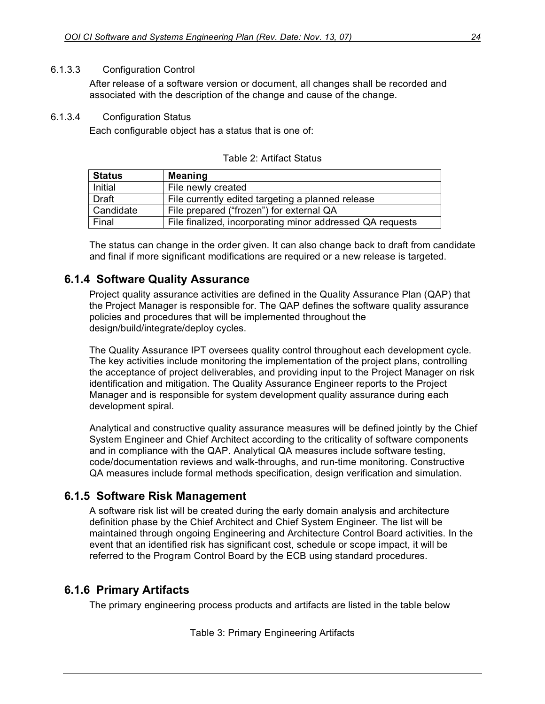#### 6.1.3.3 Configuration Control

After release of a software version or document, all changes shall be recorded and associated with the description of the change and cause of the change.

#### 6.1.3.4 Configuration Status

Each configurable object has a status that is one of:

| <b>Status</b> | <b>Meaning</b>                                            |
|---------------|-----------------------------------------------------------|
| Initial       | File newly created                                        |
| <b>Draft</b>  | File currently edited targeting a planned release         |
| Candidate     | File prepared ("frozen") for external QA                  |
| Final         | File finalized, incorporating minor addressed QA requests |

Table 2: Artifact Status

The status can change in the order given. It can also change back to draft from candidate and final if more significant modifications are required or a new release is targeted.

#### **6.1.4 Software Quality Assurance**

Project quality assurance activities are defined in the Quality Assurance Plan (QAP) that the Project Manager is responsible for. The QAP defines the software quality assurance policies and procedures that will be implemented throughout the design/build/integrate/deploy cycles.

The Quality Assurance IPT oversees quality control throughout each development cycle. The key activities include monitoring the implementation of the project plans, controlling the acceptance of project deliverables, and providing input to the Project Manager on risk identification and mitigation. The Quality Assurance Engineer reports to the Project Manager and is responsible for system development quality assurance during each development spiral.

Analytical and constructive quality assurance measures will be defined jointly by the Chief System Engineer and Chief Architect according to the criticality of software components and in compliance with the QAP. Analytical QA measures include software testing, code/documentation reviews and walk-throughs, and run-time monitoring. Constructive QA measures include formal methods specification, design verification and simulation.

#### **6.1.5 Software Risk Management**

A software risk list will be created during the early domain analysis and architecture definition phase by the Chief Architect and Chief System Engineer. The list will be maintained through ongoing Engineering and Architecture Control Board activities. In the event that an identified risk has significant cost, schedule or scope impact, it will be referred to the Program Control Board by the ECB using standard procedures.

#### **6.1.6 Primary Artifacts**

The primary engineering process products and artifacts are listed in the table below

Table 3: Primary Engineering Artifacts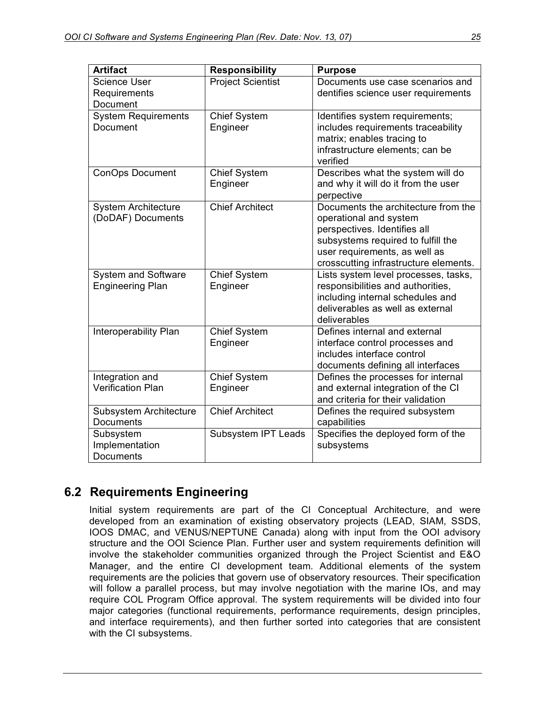| <b>Artifact</b>                                       | <b>Responsibility</b>           | <b>Purpose</b>                                                                                                                                                                                                |
|-------------------------------------------------------|---------------------------------|---------------------------------------------------------------------------------------------------------------------------------------------------------------------------------------------------------------|
| <b>Science User</b><br>Requirements<br>Document       | <b>Project Scientist</b>        | Documents use case scenarios and<br>dentifies science user requirements                                                                                                                                       |
| <b>System Requirements</b><br>Document                | <b>Chief System</b><br>Engineer | Identifies system requirements;<br>includes requirements traceability<br>matrix; enables tracing to<br>infrastructure elements; can be<br>verified                                                            |
| <b>ConOps Document</b>                                | <b>Chief System</b><br>Engineer | Describes what the system will do<br>and why it will do it from the user<br>perpective                                                                                                                        |
| <b>System Architecture</b><br>(DoDAF) Documents       | <b>Chief Architect</b>          | Documents the architecture from the<br>operational and system<br>perspectives. Identifies all<br>subsystems required to fulfill the<br>user requirements, as well as<br>crosscutting infrastructure elements. |
| <b>System and Software</b><br><b>Engineering Plan</b> | <b>Chief System</b><br>Engineer | Lists system level processes, tasks,<br>responsibilities and authorities,<br>including internal schedules and<br>deliverables as well as external<br>deliverables                                             |
| Interoperability Plan                                 | <b>Chief System</b><br>Engineer | Defines internal and external<br>interface control processes and<br>includes interface control<br>documents defining all interfaces                                                                           |
| Integration and<br><b>Verification Plan</b>           | <b>Chief System</b><br>Engineer | Defines the processes for internal<br>and external integration of the CI<br>and criteria for their validation                                                                                                 |
| Subsystem Architecture<br><b>Documents</b>            | <b>Chief Architect</b>          | Defines the required subsystem<br>capabilities                                                                                                                                                                |
| Subsystem<br>Implementation<br>Documents              | Subsystem IPT Leads             | Specifies the deployed form of the<br>subsystems                                                                                                                                                              |

## **6.2 Requirements Engineering**

Initial system requirements are part of the CI Conceptual Architecture, and were developed from an examination of existing observatory projects (LEAD, SIAM, SSDS, IOOS DMAC, and VENUS/NEPTUNE Canada) along with input from the OOI advisory structure and the OOI Science Plan. Further user and system requirements definition will involve the stakeholder communities organized through the Project Scientist and E&O Manager, and the entire CI development team. Additional elements of the system requirements are the policies that govern use of observatory resources. Their specification will follow a parallel process, but may involve negotiation with the marine IOs, and may require COL Program Office approval. The system requirements will be divided into four major categories (functional requirements, performance requirements, design principles, and interface requirements), and then further sorted into categories that are consistent with the CI subsystems.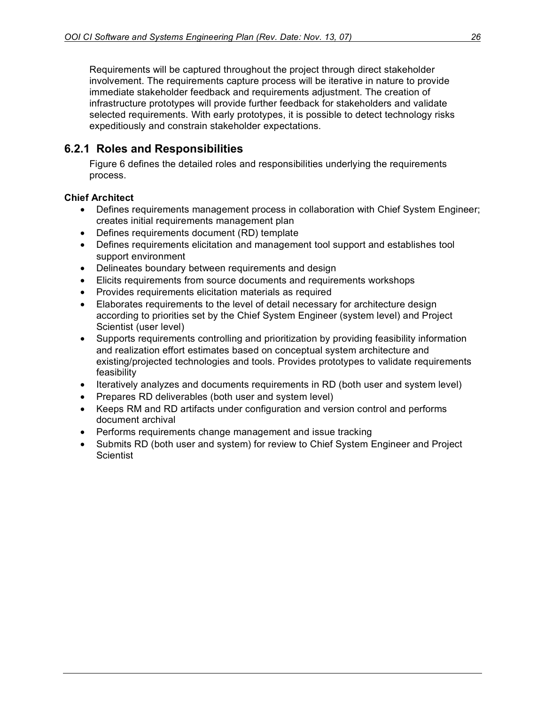Requirements will be captured throughout the project through direct stakeholder involvement. The requirements capture process will be iterative in nature to provide immediate stakeholder feedback and requirements adjustment. The creation of infrastructure prototypes will provide further feedback for stakeholders and validate selected requirements. With early prototypes, it is possible to detect technology risks expeditiously and constrain stakeholder expectations.

## **6.2.1 Roles and Responsibilities**

Figure 6 defines the detailed roles and responsibilities underlying the requirements process.

#### **Chief Architect**

- Defines requirements management process in collaboration with Chief System Engineer; creates initial requirements management plan
- Defines requirements document (RD) template
- Defines requirements elicitation and management tool support and establishes tool support environment
- Delineates boundary between requirements and design
- Elicits requirements from source documents and requirements workshops
- Provides requirements elicitation materials as required
- Elaborates requirements to the level of detail necessary for architecture design according to priorities set by the Chief System Engineer (system level) and Project Scientist (user level)
- Supports requirements controlling and prioritization by providing feasibility information and realization effort estimates based on conceptual system architecture and existing/projected technologies and tools. Provides prototypes to validate requirements feasibility
- Iteratively analyzes and documents requirements in RD (both user and system level)
- Prepares RD deliverables (both user and system level)
- Keeps RM and RD artifacts under configuration and version control and performs document archival
- Performs requirements change management and issue tracking
- Submits RD (both user and system) for review to Chief System Engineer and Project **Scientist**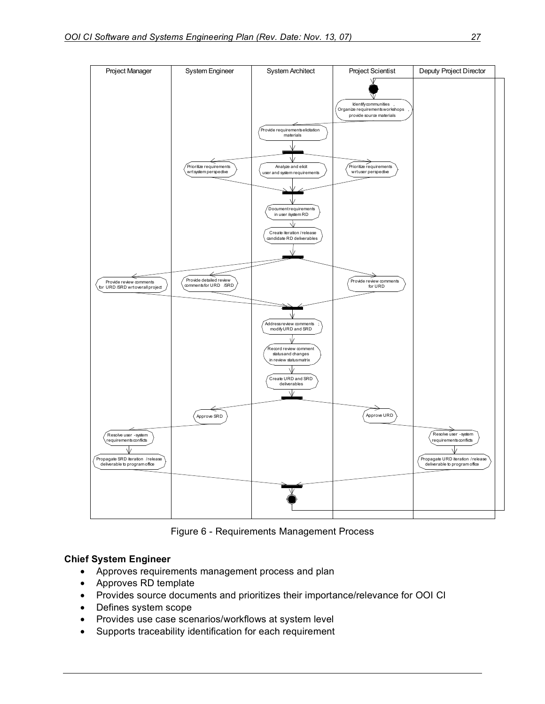

Figure 6 - Requirements Management Process

#### **Chief System Engineer**

- Approves requirements management process and plan
- Approves RD template
- Provides source documents and prioritizes their importance/relevance for OOI CI
- Defines system scope
- Provides use case scenarios/workflows at system level
- Supports traceability identification for each requirement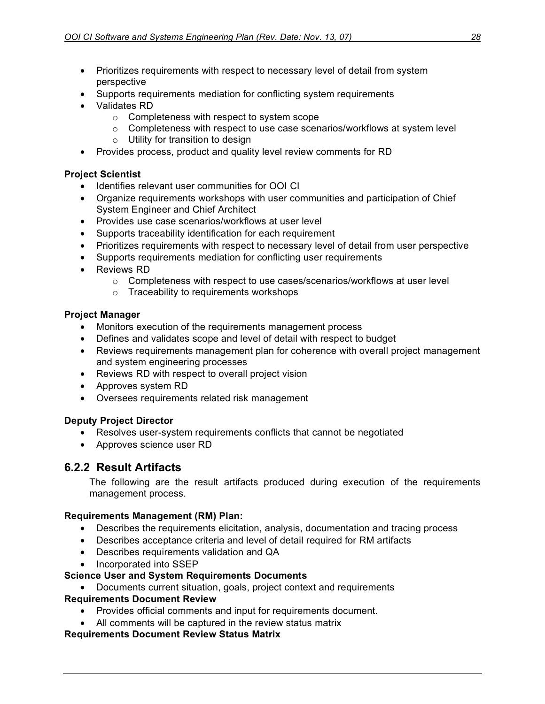- Prioritizes requirements with respect to necessary level of detail from system perspective
- Supports requirements mediation for conflicting system requirements
- Validates RD
	- o Completeness with respect to system scope
	- o Completeness with respect to use case scenarios/workflows at system level
	- o Utility for transition to design
- Provides process, product and quality level review comments for RD

#### **Project Scientist**

- Identifies relevant user communities for OOI CI
- Organize requirements workshops with user communities and participation of Chief System Engineer and Chief Architect
- Provides use case scenarios/workflows at user level
- Supports traceability identification for each requirement
- Prioritizes requirements with respect to necessary level of detail from user perspective
- Supports requirements mediation for conflicting user requirements
- Reviews RD
	- $\circ$  Completeness with respect to use cases/scenarios/workflows at user level
	- o Traceability to requirements workshops

#### **Project Manager**

- Monitors execution of the requirements management process
- Defines and validates scope and level of detail with respect to budget
- Reviews requirements management plan for coherence with overall project management and system engineering processes
- Reviews RD with respect to overall project vision
- Approves system RD
- Oversees requirements related risk management

#### **Deputy Project Director**

- Resolves user-system requirements conflicts that cannot be negotiated
- Approves science user RD

#### **6.2.2 Result Artifacts**

The following are the result artifacts produced during execution of the requirements management process.

#### **Requirements Management (RM) Plan:**

- Describes the requirements elicitation, analysis, documentation and tracing process
- Describes acceptance criteria and level of detail required for RM artifacts
- Describes requirements validation and QA
- Incorporated into SSEP

#### **Science User and System Requirements Documents**

#### • Documents current situation, goals, project context and requirements

#### **Requirements Document Review**

- Provides official comments and input for requirements document.
- All comments will be captured in the review status matrix

#### **Requirements Document Review Status Matrix**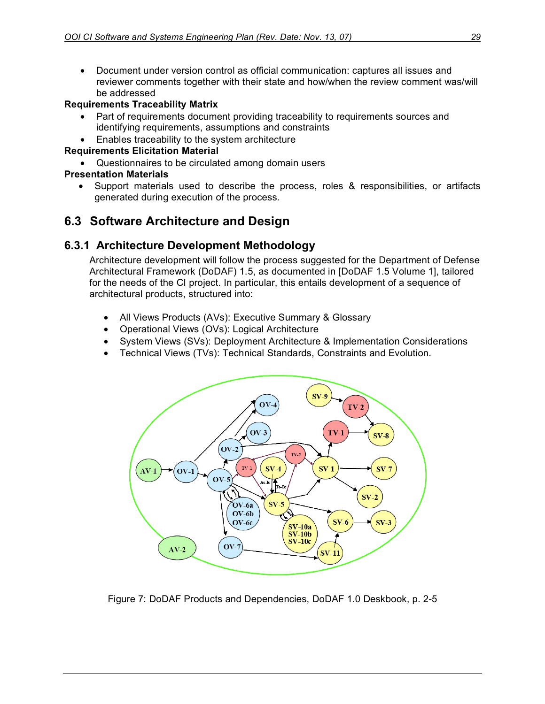• Document under version control as official communication: captures all issues and reviewer comments together with their state and how/when the review comment was/will be addressed

#### **Requirements Traceability Matrix**

- Part of requirements document providing traceability to requirements sources and identifying requirements, assumptions and constraints
- Enables traceability to the system architecture

#### **Requirements Elicitation Material**

• Questionnaires to be circulated among domain users

#### **Presentation Materials**

• Support materials used to describe the process, roles & responsibilities, or artifacts generated during execution of the process.

## **6.3 Software Architecture and Design**

#### **6.3.1 Architecture Development Methodology**

Architecture development will follow the process suggested for the Department of Defense Architectural Framework (DoDAF) 1.5, as documented in [DoDAF 1.5 Volume 1], tailored for the needs of the CI project. In particular, this entails development of a sequence of architectural products, structured into:

- All Views Products (AVs): Executive Summary & Glossary
- Operational Views (OVs): Logical Architecture
- System Views (SVs): Deployment Architecture & Implementation Considerations
- Technical Views (TVs): Technical Standards, Constraints and Evolution.



Figure 7: DoDAF Products and Dependencies, DoDAF 1.0 Deskbook, p. 2-5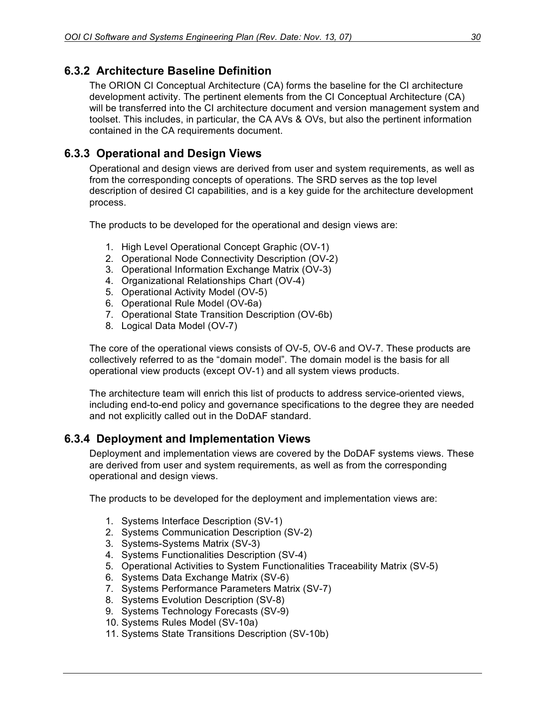## **6.3.2 Architecture Baseline Definition**

The ORION CI Conceptual Architecture (CA) forms the baseline for the CI architecture development activity. The pertinent elements from the CI Conceptual Architecture (CA) will be transferred into the CI architecture document and version management system and toolset. This includes, in particular, the CA AVs & OVs, but also the pertinent information contained in the CA requirements document.

## **6.3.3 Operational and Design Views**

Operational and design views are derived from user and system requirements, as well as from the corresponding concepts of operations. The SRD serves as the top level description of desired CI capabilities, and is a key guide for the architecture development process.

The products to be developed for the operational and design views are:

- 1. High Level Operational Concept Graphic (OV-1)
- 2. Operational Node Connectivity Description (OV-2)
- 3. Operational Information Exchange Matrix (OV-3)
- 4. Organizational Relationships Chart (OV-4)
- 5. Operational Activity Model (OV-5)
- 6. Operational Rule Model (OV-6a)
- 7. Operational State Transition Description (OV-6b)
- 8. Logical Data Model (OV-7)

The core of the operational views consists of OV-5, OV-6 and OV-7. These products are collectively referred to as the "domain model". The domain model is the basis for all operational view products (except OV-1) and all system views products.

The architecture team will enrich this list of products to address service-oriented views, including end-to-end policy and governance specifications to the degree they are needed and not explicitly called out in the DoDAF standard.

#### **6.3.4 Deployment and Implementation Views**

Deployment and implementation views are covered by the DoDAF systems views. These are derived from user and system requirements, as well as from the corresponding operational and design views.

The products to be developed for the deployment and implementation views are:

- 1. Systems Interface Description (SV-1)
- 2. Systems Communication Description (SV-2)
- 3. Systems-Systems Matrix (SV-3)
- 4. Systems Functionalities Description (SV-4)
- 5. Operational Activities to System Functionalities Traceability Matrix (SV-5)
- 6. Systems Data Exchange Matrix (SV-6)
- 7. Systems Performance Parameters Matrix (SV-7)
- 8. Systems Evolution Description (SV-8)
- 9. Systems Technology Forecasts (SV-9)
- 10. Systems Rules Model (SV-10a)
- 11. Systems State Transitions Description (SV-10b)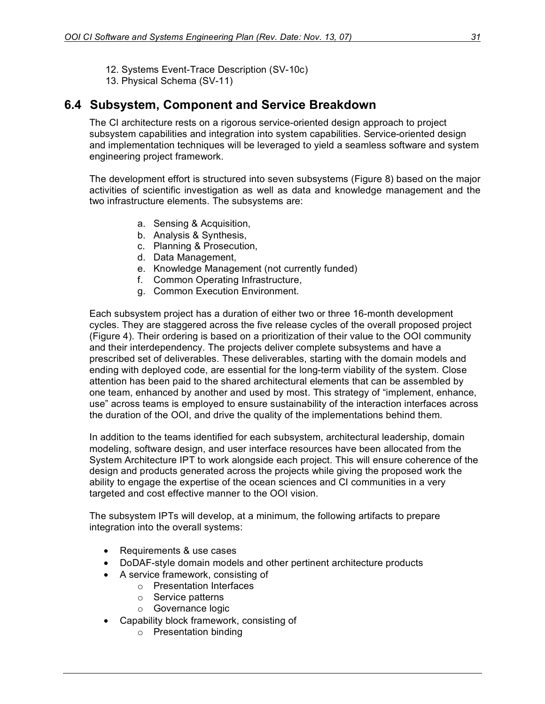- 12. Systems Event-Trace Description (SV-10c)
- 13. Physical Schema (SV-11)

## **6.4 Subsystem, Component and Service Breakdown**

The CI architecture rests on a rigorous service-oriented design approach to project subsystem capabilities and integration into system capabilities. Service-oriented design and implementation techniques will be leveraged to yield a seamless software and system engineering project framework.

The development effort is structured into seven subsystems (Figure 8) based on the major activities of scientific investigation as well as data and knowledge management and the two infrastructure elements. The subsystems are:

- a. Sensing & Acquisition,
- b. Analysis & Synthesis,
- c. Planning & Prosecution,
- d. Data Management,
- e. Knowledge Management (not currently funded)
- f. Common Operating Infrastructure,
- g. Common Execution Environment.

Each subsystem project has a duration of either two or three 16-month development cycles. They are staggered across the five release cycles of the overall proposed project (Figure 4). Their ordering is based on a prioritization of their value to the OOI community and their interdependency. The projects deliver complete subsystems and have a prescribed set of deliverables. These deliverables, starting with the domain models and ending with deployed code, are essential for the long-term viability of the system. Close attention has been paid to the shared architectural elements that can be assembled by one team, enhanced by another and used by most. This strategy of "implement, enhance, use" across teams is employed to ensure sustainability of the interaction interfaces across the duration of the OOI, and drive the quality of the implementations behind them.

In addition to the teams identified for each subsystem, architectural leadership, domain modeling, software design, and user interface resources have been allocated from the System Architecture IPT to work alongside each project. This will ensure coherence of the design and products generated across the projects while giving the proposed work the ability to engage the expertise of the ocean sciences and CI communities in a very targeted and cost effective manner to the OOI vision.

The subsystem IPTs will develop, at a minimum, the following artifacts to prepare integration into the overall systems:

- Requirements & use cases
- DoDAF-style domain models and other pertinent architecture products
- A service framework, consisting of
	- o Presentation Interfaces
	- o Service patterns
	- o Governance logic
- Capability block framework, consisting of
	- o Presentation binding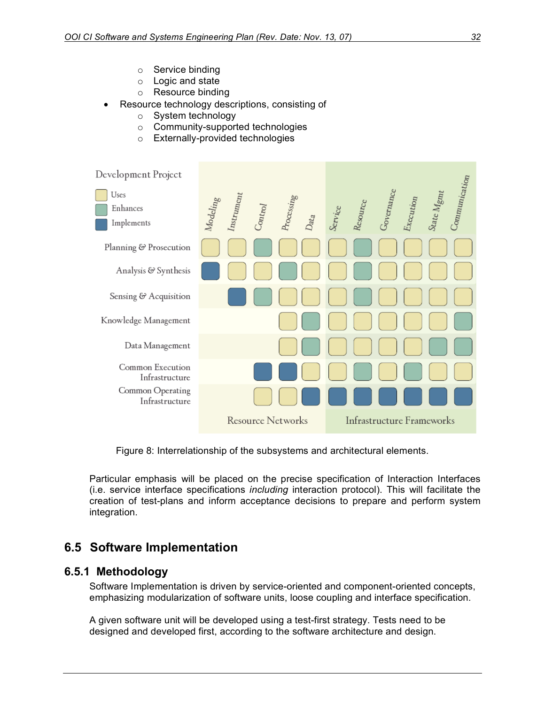- o Service binding
- o Logic and state
- o Resource binding
- Resource technology descriptions, consisting of
	- o System technology
	- o Community-supported technologies
	- o Externally-provided technologies



Figure 8: Interrelationship of the subsystems and architectural elements.

Particular emphasis will be placed on the precise specification of Interaction Interfaces (i.e. service interface specifications *including* interaction protocol). This will facilitate the creation of test-plans and inform acceptance decisions to prepare and perform system integration.

## **6.5 Software Implementation**

#### **6.5.1 Methodology**

Software Implementation is driven by service-oriented and component-oriented concepts, emphasizing modularization of software units, loose coupling and interface specification.

A given software unit will be developed using a test-first strategy. Tests need to be designed and developed first, according to the software architecture and design.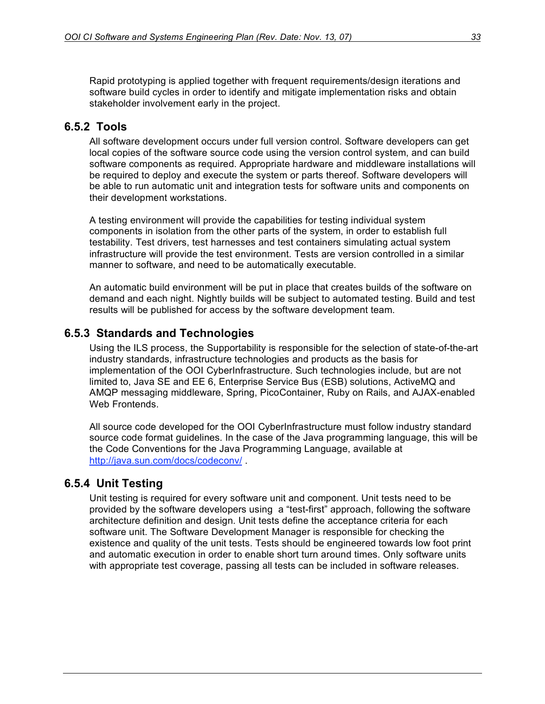Rapid prototyping is applied together with frequent requirements/design iterations and software build cycles in order to identify and mitigate implementation risks and obtain stakeholder involvement early in the project.

#### **6.5.2 Tools**

All software development occurs under full version control. Software developers can get local copies of the software source code using the version control system, and can build software components as required. Appropriate hardware and middleware installations will be required to deploy and execute the system or parts thereof. Software developers will be able to run automatic unit and integration tests for software units and components on their development workstations.

A testing environment will provide the capabilities for testing individual system components in isolation from the other parts of the system, in order to establish full testability. Test drivers, test harnesses and test containers simulating actual system infrastructure will provide the test environment. Tests are version controlled in a similar manner to software, and need to be automatically executable.

An automatic build environment will be put in place that creates builds of the software on demand and each night. Nightly builds will be subject to automated testing. Build and test results will be published for access by the software development team.

#### **6.5.3 Standards and Technologies**

Using the ILS process, the Supportability is responsible for the selection of state-of-the-art industry standards, infrastructure technologies and products as the basis for implementation of the OOI CyberInfrastructure. Such technologies include, but are not limited to, Java SE and EE 6, Enterprise Service Bus (ESB) solutions, ActiveMQ and AMQP messaging middleware, Spring, PicoContainer, Ruby on Rails, and AJAX-enabled Web Frontends.

All source code developed for the OOI CyberInfrastructure must follow industry standard source code format guidelines. In the case of the Java programming language, this will be the Code Conventions for the Java Programming Language, available at http://java.sun.com/docs/codeconv/ .

#### **6.5.4 Unit Testing**

Unit testing is required for every software unit and component. Unit tests need to be provided by the software developers using a "test-first" approach, following the software architecture definition and design. Unit tests define the acceptance criteria for each software unit. The Software Development Manager is responsible for checking the existence and quality of the unit tests. Tests should be engineered towards low foot print and automatic execution in order to enable short turn around times. Only software units with appropriate test coverage, passing all tests can be included in software releases.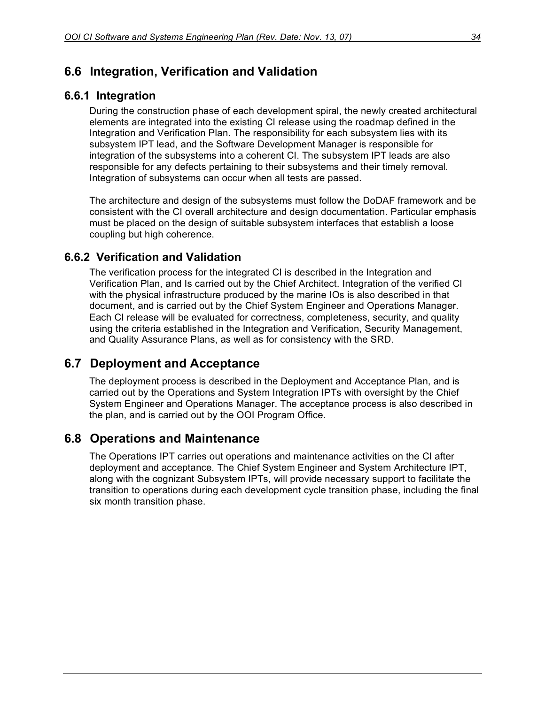## **6.6 Integration, Verification and Validation**

#### **6.6.1 Integration**

During the construction phase of each development spiral, the newly created architectural elements are integrated into the existing CI release using the roadmap defined in the Integration and Verification Plan. The responsibility for each subsystem lies with its subsystem IPT lead, and the Software Development Manager is responsible for integration of the subsystems into a coherent CI. The subsystem IPT leads are also responsible for any defects pertaining to their subsystems and their timely removal. Integration of subsystems can occur when all tests are passed.

The architecture and design of the subsystems must follow the DoDAF framework and be consistent with the CI overall architecture and design documentation. Particular emphasis must be placed on the design of suitable subsystem interfaces that establish a loose coupling but high coherence.

#### **6.6.2 Verification and Validation**

The verification process for the integrated CI is described in the Integration and Verification Plan, and Is carried out by the Chief Architect. Integration of the verified CI with the physical infrastructure produced by the marine IOs is also described in that document, and is carried out by the Chief System Engineer and Operations Manager. Each CI release will be evaluated for correctness, completeness, security, and quality using the criteria established in the Integration and Verification, Security Management, and Quality Assurance Plans, as well as for consistency with the SRD.

## **6.7 Deployment and Acceptance**

The deployment process is described in the Deployment and Acceptance Plan, and is carried out by the Operations and System Integration IPTs with oversight by the Chief System Engineer and Operations Manager. The acceptance process is also described in the plan, and is carried out by the OOI Program Office.

## **6.8 Operations and Maintenance**

The Operations IPT carries out operations and maintenance activities on the CI after deployment and acceptance. The Chief System Engineer and System Architecture IPT, along with the cognizant Subsystem IPTs, will provide necessary support to facilitate the transition to operations during each development cycle transition phase, including the final six month transition phase.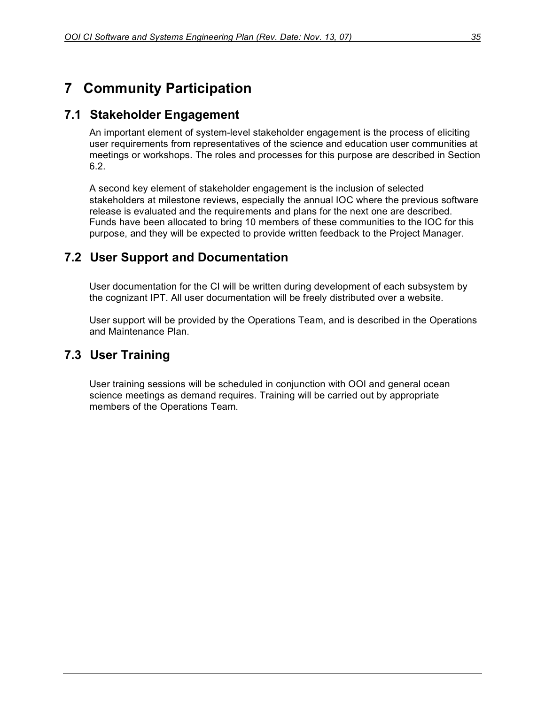## **7 Community Participation**

## **7.1 Stakeholder Engagement**

An important element of system-level stakeholder engagement is the process of eliciting user requirements from representatives of the science and education user communities at meetings or workshops. The roles and processes for this purpose are described in Section 6.2.

A second key element of stakeholder engagement is the inclusion of selected stakeholders at milestone reviews, especially the annual IOC where the previous software release is evaluated and the requirements and plans for the next one are described. Funds have been allocated to bring 10 members of these communities to the IOC for this purpose, and they will be expected to provide written feedback to the Project Manager.

## **7.2 User Support and Documentation**

User documentation for the CI will be written during development of each subsystem by the cognizant IPT. All user documentation will be freely distributed over a website.

User support will be provided by the Operations Team, and is described in the Operations and Maintenance Plan.

## **7.3 User Training**

User training sessions will be scheduled in conjunction with OOI and general ocean science meetings as demand requires. Training will be carried out by appropriate members of the Operations Team.